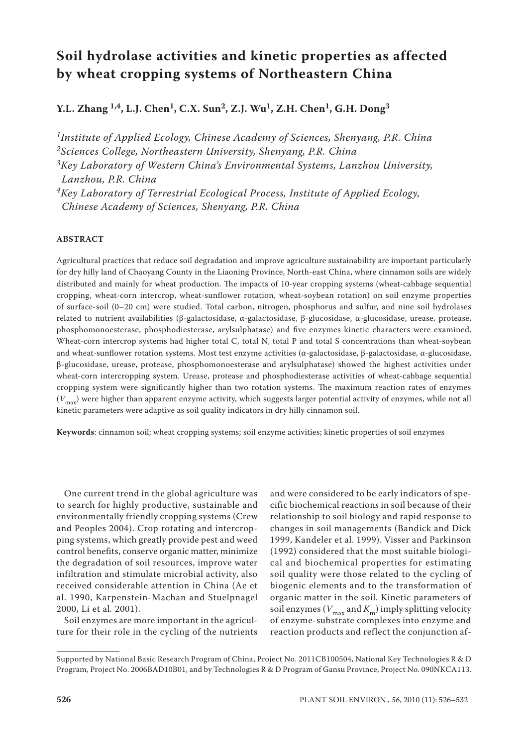# **Soil hydrolase activities and kinetic properties as affected by wheat cropping systems of Northeastern China**

**Y.L. Zhang 1,4, L.J. Chen1, C.X. Sun2, Z.J. Wu1, Z.H. Chen1, G.H. Dong3**

*1Institute of Applied Ecology, Chinese Academy of Sciences, Shenyang, P.R. China 2Sciences College, Northeastern University, Shenyang, P.R. China*

*3Key Laboratory of Western China's Environmental Systems, Lanzhou University, Lanzhou, P.R. China*

*4Key Laboratory of Terrestrial Ecological Process, Institute of Applied Ecology, Chinese Academy of Sciences, Shenyang, P.R. China*

## **ABSTRACT**

Agricultural practices that reduce soil degradation and improve agriculture sustainability are important particularly for dry hilly land of Chaoyang County in the Liaoning Province, North-east China, where cinnamon soils are widely distributed and mainly for wheat production. The impacts of 10-year cropping systems (wheat-cabbage sequential cropping, wheat-corn intercrop, wheat-sunflower rotation, wheat-soybean rotation) on soil enzyme properties of surface-soil (0–20 cm) were studied. Total carbon, nitrogen, phosphorus and sulfur, and nine soil hydrolases related to nutrient availabilities (β-galactosidase, α-galactosidase, β-glucosidase, α-glucosidase, urease, protease, phosphomonoesterase, phosphodiesterase, arylsulphatase) and five enzymes kinetic characters were examined. Wheat-corn intercrop systems had higher total C, total N, total P and total S concentrations than wheat-soybean and wheat-sunflower rotation systems. Most test enzyme activities (α-galactosidase, β-galactosidase, α-glucosidase, β-glucosidase, urease, protease, phosphomonoesterase and arylsulphatase) showed the highest activities under wheat-corn intercropping system. Urease, protease and phosphodiesterase activities of wheat-cabbage sequential cropping system were significantly higher than two rotation systems. The maximum reaction rates of enzymes ( $V_{\text{max}}$ ) were higher than apparent enzyme activity, which suggests larger potential activity of enzymes, while not all kinetic parameters were adaptive as soil quality indicators in dry hilly cinnamon soil.

**Keywords**: cinnamon soil; wheat cropping systems; soil enzyme activities; kinetic properties of soil enzymes

One current trend in the global agriculture was to search for highly productive, sustainable and environmentally friendly cropping systems (Crew and Peoples 2004). Crop rotating and intercropping systems, which greatly provide pest and weed control benefits, conserve organic matter, minimize the degradation of soil resources, improve water infiltration and stimulate microbial activity, also received considerable attention in China (Ae et al. 1990, Karpenstein-Machan and Stuelpnagel 2000, Li et al*.* 2001).

Soil enzymes are more important in the agriculture for their role in the cycling of the nutrients

and were considered to be early indicators of specific biochemical reaction*s* in soil because of their relationship to soil biology and rapid response to changes in soil managements (Bandick and Dick 1999, Kandeler et al. 1999). Visser and Parkinson (1992) considered that the most suitable biological and biochemical properties for estimating soil quality were those related to the cycling of biogenic elements and to the transformation of organic matter in the soil. Kinetic parameters of soil enzymes ( $V_{\text{max}}$  and  $K_{\text{m}}$ ) imply splitting velocity of enzyme-substrate complexes into enzyme and reaction products and reflect the conjunction af-

Supported by National Basic Research Program of China, Project No. 2011CB100504, National Key Technologies R & D Program, Project No. 2006BAD10B01, and by Technologies R & D Program of Gansu Province, Project No. 090NKCA113.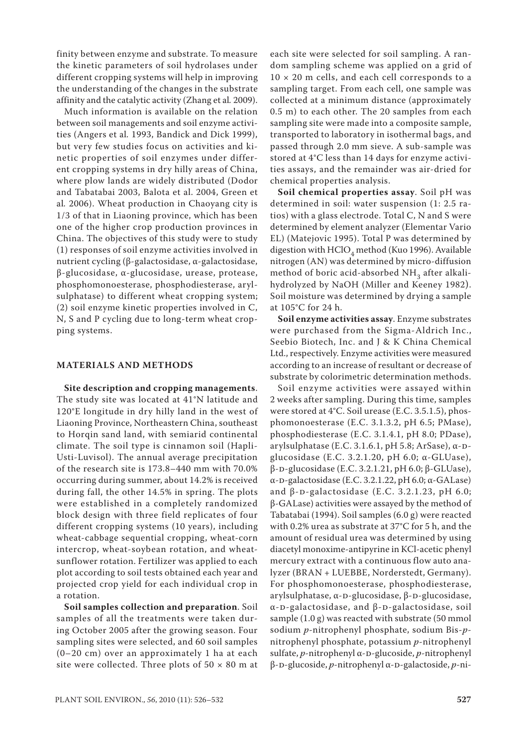finity between enzyme and substrate. To measure the kinetic parameters of soil hydrolases under different cropping systems will help in improving the understanding of the changes in the substrate affinity and the catalytic activity (Zhang et al*.* 2009).

Much information is available on the relation between soil managements and soil enzyme activities (Angers et al*.* 1993, Bandick and Dick 1999), but very few studies focus on activities and kinetic properties of soil enzymes under different cropping systems in dry hilly areas of China, where plow lands are widely distributed (Dodor and Tabatabai 2003, Balota et al. 2004, Green et al*.* 2006). Wheat production in Chaoyang city is 1/3 of that in Liaoning province, which has been one of the higher crop production provinces in China. The objectives of this study were to study (1) responses of soil enzyme activities involved in nutrient cycling (β-galactosidase, α-galactosidase, β-glucosidase, α-glucosidase, urease, protease, phosphomonoesterase, phosphodiesterase, arylsulphatase) to different wheat cropping system; (2) soil enzyme kinetic properties involved in C, N, S and P cycling due to long-term wheat cropping systems.

## **MATERIALS AND METHODS**

**Site description and cropping managements**. The study site was located at 41°N latitude and 120°E longitude in dry hilly land in the west of Liaoning Province, Northeastern China, southeast to Horqin sand land, with semiarid continental climate. The soil type is cinnamon soil (Hapli-Usti-Luvisol). The annual average precipitation of the research site is 173.8–440 mm with 70.0% occurring during summer, about 14.2% is received during fall, the other 14.5% in spring. The plots were established in a completely randomized block design with three field replicates of four different cropping systems (10 years), including wheat-cabbage sequential cropping, wheat-corn intercrop, wheat-soybean rotation, and wheatsunflower rotation. Fertilizer was applied to each plot according to soil tests obtained each year and projected crop yield for each individual crop in a rotation.

**Soil samples collection and preparation**. Soil samples of all the treatments were taken during October 2005 after the growing season. Four sampling sites were selected, and 60 soil samples (0–20 cm) over an approximately 1 ha at each site were collected. Three plots of  $50 \times 80$  m at

each site were selected for soil sampling. A random sampling scheme was applied on a grid of  $10 \times 20$  m cells, and each cell corresponds to a sampling target. From each cell, one sample was collected at a minimum distance (approximately 0.5 m) to each other. The 20 samples from each sampling site were made into a composite sample, transported to laboratory in isothermal bags, and passed through 2.0 mm sieve. A sub-sample was stored at 4°C less than 14 days for enzyme activities assays, and the remainder was air-dried for chemical properties analysis.

**Soil chemical properties assay**. Soil pH was determined in soil: water suspension (1: 2.5 ratios) with a glass electrode. Total C, N and S were determined by element analyzer (Elementar Vario EL) (Matejovic 1995). Total P was determined by digestion with  $HClO<sub>4</sub>$  method (Kuo 1996). Available nitrogen (AN) was determined by micro-diffusion method of boric acid-absorbed  $NH<sub>3</sub>$  after alkalihydrolyzed by NaOH (Miller and Keeney 1982). Soil moisture was determined by drying a sample at 105°C for 24 h.

**Soil enzyme activities assay**. Enzyme substrates were purchased from the Sigma-Aldrich Inc., Seebio Biotech, Inc. and J & K China Chemical Ltd., respectively. Enzyme activities were measured according to an increase of resultant or decrease of substrate by colorimetric determination methods.

Soil enzyme activities were assayed within 2 weeks after sampling. During this time, samples were stored at 4°C. Soil urease (E.C. 3.5.1.5), phosphomonoesterase (E.C. 3.1.3.2, pH 6.5; PMase), phosphodiesterase (E.C. 3.1.4.1, pH 8.0; PDase), arylsulphatase (E.C. 3.1.6.1, pH 5.8; ArSase),  $\alpha$ -Dglucosidase (E.C. 3.2.1.20, pH 6.0; α-GLUase), β-d-glucosidase (E.C. 3.2.1.21, pH 6.0; β-GLUase), α-d-galactosidase (E.C. 3.2.1.22, pH 6.0; α-GALase) and  $\beta$ -D-galactosidase (E.C. 3.2.1.23, pH 6.0; β-GALase) activities were assayed by the method of Tabatabai (1994). Soil samples (6.0 g) were reacted with 0.2% urea as substrate at 37°C for 5 h, and the amount of residual urea was determined by using diacetyl monoxime-antipyrine in KCl-acetic phenyl mercury extract with a continuous flow auto analyzer (BRAN + LUEBBE, Norderstedt, Germany). For phosphomonoesterase, phosphodiesterase, arylsulphatase, α-D-glucosidase, β-D-glucosidase, α-d-galactosidase, and β-d-galactosidase, soil sample (1.0 g) was reacted with substrate (50 mmol sodium *p*-nitrophenyl phosphate, sodium Bis-*p*nitrophenyl phosphate, potassium *p*-nitrophenyl sulfate, *p*-nitrophenyl α-D-glucoside, *p*-nitrophenyl β-d-glucoside, *p*-nitrophenyl α-d-galactoside, *p*-ni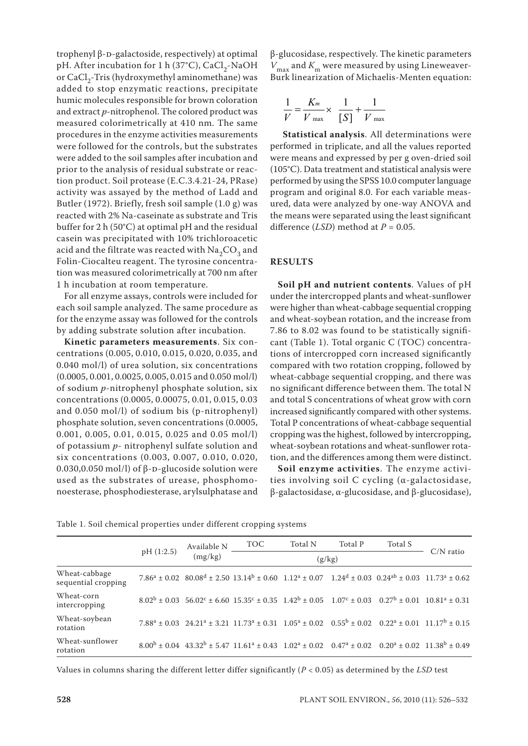trophenyl β-D-galactoside, respectively) at optimal pH. After incubation for 1 h (37°C), CaCl<sub>2</sub>-NaOH or  $CaCl<sub>2</sub>$ -Tris (hydroxymethyl aminomethane) was added to stop enzymatic reactions, precipitate humic molecules responsible for brown coloration and extract *p*-nitrophenol. The colored product was measured colorimetrically at 410 nm. The same procedures in the enzyme activities measurements were followed for the controls, but the substrates were added to the soil samples after incubation and prior to the analysis of residual substrate or reaction product. Soil protease (E.C.3.4.21-24, PRase) activity was assayed by the method of Ladd and Butler (1972). Briefly, fresh soil sample (1.0 g) was reacted with 2% Na-caseinate as substrate and Tris buffer for 2 h (50°C) at optimal pH and the residual casein was precipitated with 10% trichloroacetic acid and the filtrate was reacted with  $Na<sub>2</sub>CO<sub>2</sub>$  and Folin-Ciocalteu reagent. The tyrosine concentration was measured colorimetrically at 700 nm after 1 h incubation at room temperature.

For all enzyme assays, controls were included for each soil sample analyzed. The same procedure as for the enzyme assay was followed for the controls by adding substrate solution after incubation.

**Kinetic parameters measurements**. Six concentrations (0.005, 0.010, 0.015, 0.020, 0.035, and 0.040 mol/l) of urea solution, six concentrations (0.0005, 0.001, 0.0025, 0.005, 0.015 and 0.050 mol/l) of sodium *p*-nitrophenyl phosphate solution, six concentrations (0.0005, 0.00075, 0.01, 0.015, 0.03 and 0.050 mol/l) of sodium bis (p-nitrophenyl) phosphate solution, seven concentrations (0.0005, 0.001, 0.005, 0.01, 0.015, 0.025 and 0.05 mol/l) of potassium *p*- nitrophenyl sulfate solution and six concentrations (0.003, 0.007, 0.010, 0.020, 0.030,0.050 mol/l) of  $β$ -D-glucoside solution were used as the substrates of urease, phosphomonoesterase, phosphodiesterase, arylsulphatase and β-glucosidase, respectively. The kinetic parameters  $V_{\text{max}}$  and  $K_{\text{m}}$  were measured by using Lineweaver-Burk linearization of Michaelis-Menten equation:

$$
\frac{1}{V} = \frac{K_m}{V_{\text{max}}} \times \frac{1}{[S]} + \frac{1}{V_{\text{max}}}
$$

1 performed in triplicate, and all the values reported performed**Statistical analysis**. All determinations were were means and expressed by per g oven-dried soil (105°C). Data treatment and statistical analysis were performed by using the SPSS 10.0 computer language program and original 8.0. For each variable measured, data were analyzed by one-way ANOVA and the means were separated using the least significant difference (*LSD*) method at *P* = 0.05.

## **RESULTS**

**Soil pH and nutrient contents**. Values of pH under the intercropped plants and wheat-sunflower were higher than wheat-cabbage sequential cropping and wheat-soybean rotation, and the increase from 7.86 to 8.02 was found to be statistically significant (Table 1). Total organic C (TOC) concentrations of intercropped corn increased significantly compared with two rotation cropping, followed by wheat-cabbage sequential cropping, and there was no significant difference between them. The total N and total S concentrations of wheat grow with corn increased significantly compared with other systems. Total P concentrations of wheat-cabbage sequential cropping was the highest, followed by intercropping, wheat-soybean rotations and wheat-sunflower rotation, and the differences among them were distinct.

**Soil enzyme activities**. The enzyme activities involving soil C cycling (α-galactosidase, β-galactosidase, α-glucosidase, and β-glucosidase),

Table 1. Soil chemical properties under different cropping systems

|                                      | pH (1:2.5) | Available N<br>(mg/kg) | <b>TOC</b>                                                                                                                                                                                                        | Total N | Total P | Total S |             |
|--------------------------------------|------------|------------------------|-------------------------------------------------------------------------------------------------------------------------------------------------------------------------------------------------------------------|---------|---------|---------|-------------|
|                                      |            |                        | (g/kg)                                                                                                                                                                                                            |         |         |         | $C/N$ ratio |
| Wheat-cabbage<br>sequential cropping |            |                        | $7.86^a \pm 0.02$ $80.08^d \pm 2.50$ $13.14^b \pm 0.60$ $1.12^a \pm 0.07$ $1.24^d \pm 0.03$ $0.24^{ab} \pm 0.03$ $11.73^a \pm 0.62$                                                                               |         |         |         |             |
| Wheat-corn<br>intercropping          |            |                        | $8.02^{\rm b} \pm 0.03 \  \  \, 56.02^{\rm c} \pm 6.60 \  \  15.35^{\rm c} \pm 0.35 \  \  \, 1.42^{\rm b} \pm 0.05 \  \  \, 1.07^{\rm c} \pm 0.03 \  \  \, 0.27^{\rm b} \pm 0.01 \  \  \, 10.81^{\rm a} \pm 0.31$ |         |         |         |             |
| Wheat-soybean<br>rotation            |            |                        | $7.88^a \pm 0.03$ $24.21^a \pm 3.21$ $11.73^a \pm 0.31$ $1.05^a \pm 0.02$ $0.55^b \pm 0.02$ $0.22^a \pm 0.01$ $11.17^b \pm 0.15$                                                                                  |         |         |         |             |
| Wheat-sunflower<br>rotation          |            |                        | $8.00^{\text{b}} \pm 0.04$ 43.32 <sup>b</sup> $\pm$ 5.47 11.61 <sup>a</sup> $\pm$ 0.43 1.02 <sup>a</sup> $\pm$ 0.02 0.47 <sup>a</sup> $\pm$ 0.02 0.20 <sup>a</sup> $\pm$ 0.02 11.38 <sup>b</sup> $\pm$ 0.49       |         |         |         |             |

Values in columns sharing the different letter differ significantly (*P* < 0.05) as determined by the *LSD* test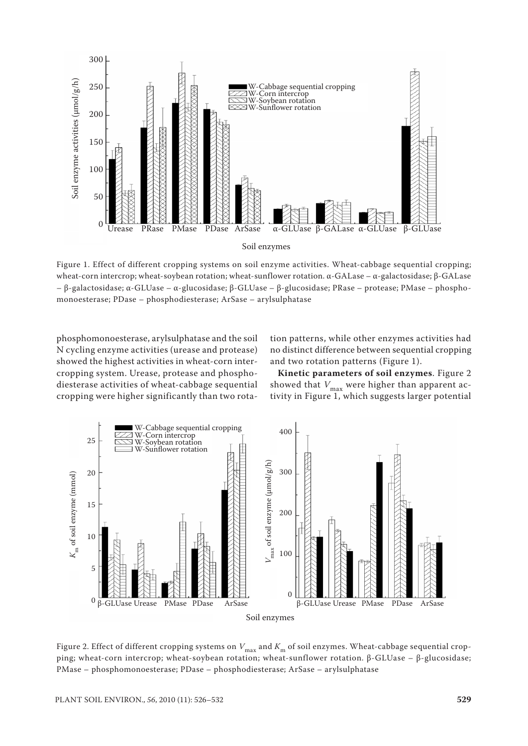

Figure 1. Effect of different cropping systems on soil enzyme activities. Wheat-cabbage sequential cropping; wheat-corn intercrop; wheat-soybean rotation; wheat-sunflower rotation. α-GALase – α-galactosidase; β-GALase – β-galactosidase; α-GLUase – α-glucosidase; β-GLUase – β-glucosidase; PRase – protease; PMase – phosphomonoesterase; PDase – phosphodiesterase; ArSase – arylsulphatase

phosphomonoesterase, arylsulphatase and the soil N cycling enzyme activities (urease and protease) showed the highest activities in wheat-corn intercropping system. Urease, protease and phosphodiesterase activities of wheat-cabbage sequential cropping were higher significantly than two rotation patterns, while other enzymes activities had no distinct difference between sequential cropping and two rotation patterns (Figure 1).

**Kinetic parameters of soil enzymes**. Figure 2 showed that  $V_{\text{max}}$  were higher than apparent activity in Figure 1, which suggests larger potential



Figure 2. Effect of different cropping systems on  $V_{\text{max}}$  and  $K_{\text{m}}$  of soil enzymes. Wheat-cabbage sequential cropping; wheat-corn intercrop; wheat-soybean rotation; wheat-sunflower rotation. β-GLUase – β-glucosidase; PMase – phosphomonoesterase; PDase – phosphodiesterase; ArSase – arylsulphatase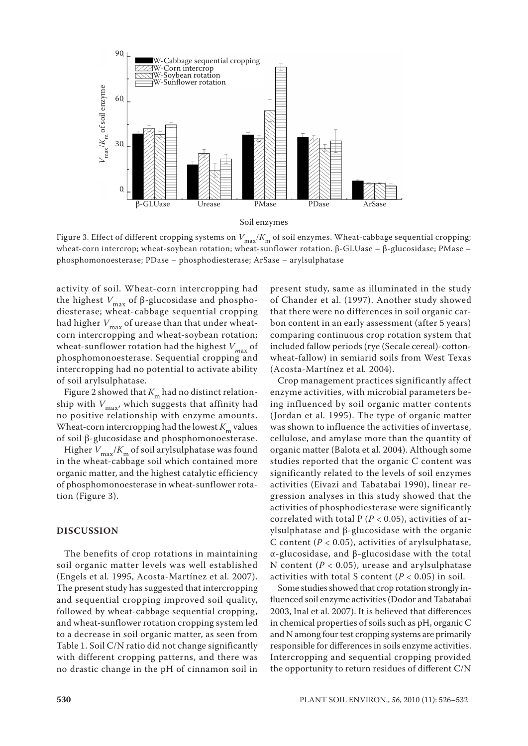

Figure 3. Effect of different cropping systems on  $V_{\text{max}}/K_{\text{m}}$  of soil enzymes. Wheat-cabbage sequential cropping; wheat-corn intercrop; wheat-soybean rotation; wheat-sunflower rotation. β-GLUase – β-glucosidase; PMase – phosphomonoesterase; PDase – phosphodiesterase; ArSase – arylsulphatase

activity of soil. Wheat-corn intercropping had the highest *V*max of β-glucosidase and phosphodiesterase; wheat-cabbage sequential cropping had higher  $V_{\text{max}}$  of urease than that under wheatcorn intercropping and wheat-soybean rotation; wheat-sunflower rotation had the highest  $V_{\text{max}}$  of phosphomonoesterase. Sequential cropping and intercropping had no potential to activate ability of soil arylsulphatase.

Figure 2 showed that  $K_m$  had no distinct relationship with  $V_{\text{max}}$ , which suggests that affinity had no positive relationship with enzyme amounts. Wheat-corn intercropping had the lowest  $K<sub>m</sub>$  values of soil β-glucosidase and phosphomonoesterase.

Higher  $V_{\text{max}}/K_{\text{m}}$  of soil arylsulphatase was found in the wheat-cabbage soil which contained more organic matter, and the highest catalytic efficiency of phosphomonoesterase in wheat-sunflower rotation (Figure 3).

#### **DISCUSSION**

The benefits of crop rotations in maintaining soil organic matter levels was well established (Engels et al*.* 1995, Acosta-Martínez et al*.* 2007). The present study has suggested that intercropping and sequential cropping improved soil quality, followed by wheat-cabbage sequential cropping, and wheat-sunflower rotation cropping system led to a decrease in soil organic matter, as seen from Table 1. Soil C/N ratio did not change significantly with different cropping patterns, and there was no drastic change in the pH of cinnamon soil in

present study, same as illuminated in the study of Chander et al. (1997). Another study showed that there were no differences in soil organic carbon content in an early assessment (after 5 years) comparing continuous crop rotation system that included fallow periods (rye (Secale cereal)-cottonwheat-fallow) in semiarid soils from West Texas (Acosta-Martínez et al*.* 2004).

Crop management practices significantly affect enzyme activities, with microbial parameters being influenced by soil organic matter contents (Jordan et al*.* 1995). The type of organic matter was shown to influence the activities of invertase, cellulose, and amylase more than the quantity of organic matter (Balota et al*.* 2004). Although some studies reported that the organic C content was significantly related to the levels of soil enzymes activities (Eivazi and Tabatabai 1990), linear regression analyses in this study showed that the activities of phosphodiesterase were significantly correlated with total  $P(P < 0.05)$ , activities of arylsulphatase and β-glucosidase with the organic C content ( $P < 0.05$ ), activities of arylsulphatase, α-glucosidase, and β-glucosidase with the total N content (*P* < 0.05), urease and arylsulphatase activities with total S content  $(P < 0.05)$  in soil.

Some studies showed that crop rotation strongly influenced soil enzyme activities (Dodor and Tabatabai 2003, Inal et al*.* 2007). It is believed that differences in chemical properties of soils such as pH, organic C and N among four test cropping systems are primarily responsible for differences in soils enzyme activities. Intercropping and sequential cropping provided the opportunity to return residues of different C/N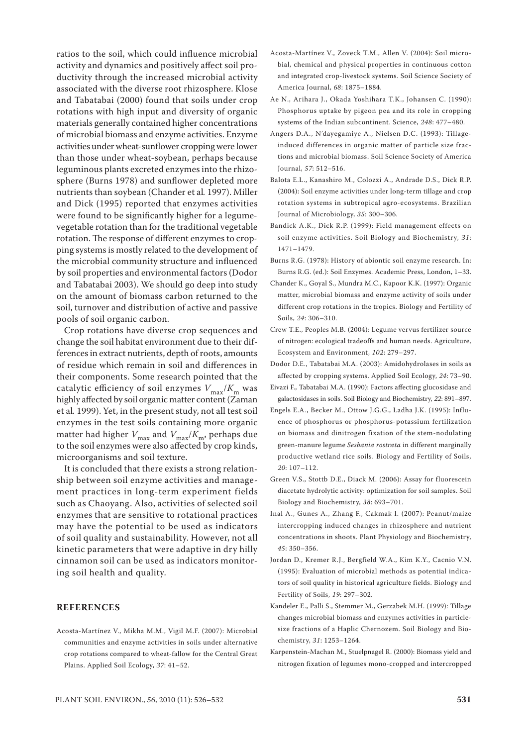associated with the diverse root rhizosphere. Klose and Tabatabai (2000) found that soils under crop rotations with high input and diversity of organic materials generally contained higher concentrations of microbial biomass and enzyme activities. Enzyme activities under wheat-sunflower cropping were lower than those under wheat-soybean, perhaps because leguminous plants excreted enzymes into the rhizosphere (Burns 1978) and sunflower depleted more nutrients than soybean (Chander et al*.* 1997). Miller and Dick (1995) reported that enzymes activities were found to be significantly higher for a legumevegetable rotation than for the traditional vegetable rotation. The response of different enzymes to cropping systems is mostly related to the development of the microbial community structure and influenced by soil properties and environmental factors (Dodor and Tabatabai 2003). We should go deep into study on the amount of biomass carbon returned to the soil, turnover and distribution of active and passive pools of soil organic carbon. Crop rotations have diverse crop sequences and change the soil habitat environment due to their differences in extract nutrients, depth of roots, amounts of residue which remain in soil and differences in

ratios to the soil, which could influence microbial activity and dynamics and positively affect soil productivity through the increased microbial activity

their components. Some research pointed that the catalytic efficiency of soil enzymes  $V_{\text{max}}/K_{\text{m}}$  was highly affected by soil organic matter content (Zaman et al*.* 1999). Yet, in the present study, not all test soil enzymes in the test soils containing more organic matter had higher  $V_{\text{max}}$  and  $V_{\text{max}}/K_{\text{m}}$ , perhaps due to the soil enzymes were also affected by crop kinds, microorganisms and soil texture.

It is concluded that there exists a strong relationship between soil enzyme activities and management practices in long-term experiment fields such as Chaoyang. Also, activities of selected soil enzymes that are sensitive to rotational practices may have the potential to be used as indicators of soil quality and sustainability. However, not all kinetic parameters that were adaptive in dry hilly cinnamon soil can be used as indicators monitoring soil health and quality.

#### **REFERENCES**

Acosta-Martínez V., Mikha M.M., Vigil M.F. (2007): Microbial communities and enzyme activities in soils under alternative crop rotations compared to wheat-fallow for the Central Great Plains. Applied Soil Ecology, *37*: 41–52.

- Acosta-Martínez V., Zoveck T.M., Allen V. (2004): Soil microbial, chemical and physical properties in continuous cotton and integrated crop-livestock systems. Soil Science Society of America Journal, *68*: 1875–1884.
- Ae N., Arihara J., Okada Yoshihara T.K., Johansen C. (1990): Phosphorus uptake by pigeon pea and its role in cropping systems of the Indian subcontinent. Science, *248*: 477–480.
- Angers D.A., N'dayegamiye A., Nielsen D.C. (1993): Tillageinduced differences in organic matter of particle size fractions and microbial biomass. Soil Science Society of America Journal, *57*: 512–516.
- Balota E.L., Kanashiro M., Colozzi A., Andrade D.S., Dick R.P. (2004): Soil enzyme activities under long-term tillage and crop rotation systems in subtropical agro-ecosystems. Brazilian Journal of Microbiology, *35*: 300–306.
- Bandick A.K., Dick R.P. (1999): Field management effects on soil enzyme activities. Soil Biology and Biochemistry, *31*: 1471–1479.
- Burns R.G. (1978): History of abiontic soil enzyme research. In: Burns R.G. (ed.): Soil Enzymes. Academic Press, London, 1–33.
- Chander K., Goyal S., Mundra M.C., Kapoor K.K. (1997): Organic matter, microbial biomass and enzyme activity of soils under different crop rotations in the tropics. Biology and Fertility of Soils, *24*: 306–310.
- Crew T.E., Peoples M.B. (2004): Legume vervus fertilizer source of nitrogen: ecological tradeoffs and human needs. Agriculture, Ecosystem and Environment, *102*: 279–297.
- Dodor D.E., Tabatabai M.A. (2003): Amidohydrolases in soils as affected by cropping systems. Applied Soil Ecology, *24*: 73–90.
- Eivazi F., Tabatabai M.A. (1990): Factors affecting glucosidase and galactosidases in soils. Soil Biology and Biochemistry, *22*: 891–897.
- Engels E.A., Becker M., Ottow J.G.G., Ladha J.K. (1995): Influence of phosphorus or phosphorus-potassium fertilization on biomass and dinitrogen fixation of the stem-nodulating green-manure legume *Sesbania rostrata* in different marginally productive wetland rice soils. Biology and Fertility of Soils, *20*: 107–112.
- Green V.S., Stottb D.E., Diack M. (2006): Assay for fluorescein diacetate hydrolytic activity: optimization for soil samples. Soil Biology and Biochemistry, *38*: 693–701.
- Inal A., Gunes A., Zhang F., Cakmak I. (2007): Peanut/maize intercropping induced changes in rhizosphere and nutrient concentrations in shoots. Plant Physiology and Biochemistry, *45*: 350–356.
- Jordan D., Kremer R.J., Bergfield W.A., Kim K.Y., Cacnio V.N. (1995): Evaluation of microbial methods as potential indicators of soil quality in historical agriculture fields. Biology and Fertility of Soils, *19*: 297–302.
- Kandeler E., Palli S., Stemmer M., Gerzabek M.H. (1999): Tillage changes microbial biomass and enzymes activities in particlesize fractions of a Haplic Chernozem. Soil Biology and Biochemistry, *31*: 1253–1264.
- Karpenstein-Machan M., Stuelpnagel R. (2000): Biomass yield and nitrogen fixation of legumes mono-cropped and intercropped